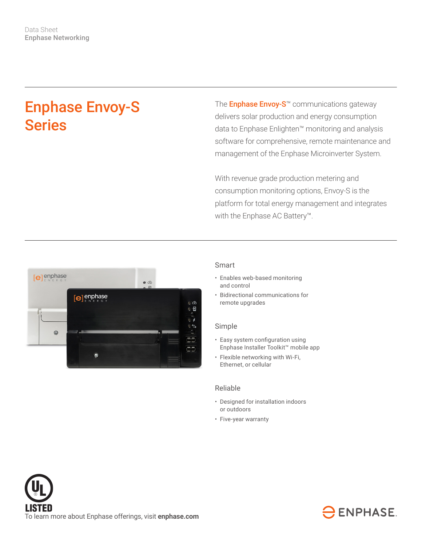# Enphase Envoy-S **Series**

The **Enphase Envoy-S™** communications gateway delivers solar production and energy consumption data to Enphase Enlighten™ monitoring and analysis software for comprehensive, remote maintenance and management of the Enphase Microinverter System.

With revenue grade production metering and consumption monitoring options, Envoy-S is the platform for total energy management and integrates with the Enphase AC Battery™.



#### Smart

- Enables web-based monitoring and control
- Bidirectional communications for remote upgrades

#### Simple

- Easy system configuration using Enphase Installer Toolkit™ mobile app
- Flexible networking with Wi-Fi, Ethernet, or cellular

### Reliable

- Designed for installation indoors or outdoors
- Five-year warranty